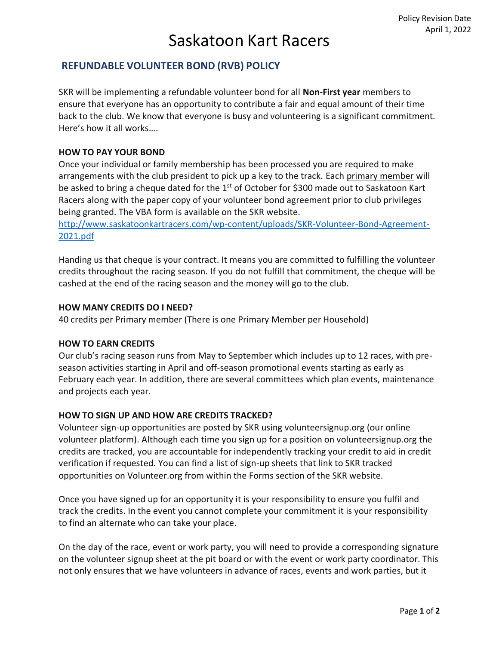# Saskatoon Kart Racers

### **REFUNDABLE VOLUNTEER BOND (RVB) POLICY**

SKR will be implementing a refundable volunteer bond for all **Non-First year** members to ensure that everyone has an opportunity to contribute a fair and equal amount of their time back to the club. We know that everyone is busy and volunteering is a significant commitment. Here's how it all works….

### **HOW TO PAY YOUR BOND**

Once your individual or family membership has been processed you are required to make arrangements with the club president to pick up a key to the track. Each primary member will be asked to bring a cheque dated for the 1<sup>st</sup> of October for \$300 made out to Saskatoon Kart Racers along with the paper copy of your volunteer bond agreement prior to club privileges being granted. The VBA form is available on the SKR website.

[http://www.saskatoonkartracers.com/wp-content/uploads/SKR-Volunteer-Bond-Agreement-](http://www.saskatoonkartracers.com/wp-content/uploads/SKR-Volunteer-Bond-Agreement-2020.pdf)[2021.pdf](http://www.saskatoonkartracers.com/wp-content/uploads/SKR-Volunteer-Bond-Agreement-2020.pdf)

Handing us that cheque is your contract. It means you are committed to fulfilling the volunteer credits throughout the racing season. If you do not fulfill that commitment, the cheque will be cashed at the end of the racing season and the money will go to the club.

### **HOW MANY CREDITS DO I NEED?**

40 credits per Primary member (There is one Primary Member per Household)

#### **HOW TO EARN CREDITS**

Our club's racing season runs from May to September which includes up to 12 races, with preseason activities starting in April and off-season promotional events starting as early as February each year. In addition, there are several committees which plan events, maintenance and projects each year.

### **HOW TO SIGN UP AND HOW ARE CREDITS TRACKED?**

Volunteer sign-up opportunities are posted by SKR using volunteersignup.org (our online volunteer platform). Although each time you sign up for a position on volunteersignup.org the credits are tracked, you are accountable for independently tracking your credit to aid in credit verification if requested. You can find a list of sign-up sheets that link to SKR tracked opportunities on Volunteer.org from within the Forms section of the SKR website.

Once you have signed up for an opportunity it is your responsibility to ensure you fulfil and track the credits. In the event you cannot complete your commitment it is your responsibility to find an alternate who can take your place.

On the day of the race, event or work party, you will need to provide a corresponding signature on the volunteer signup sheet at the pit board or with the event or work party coordinator. This not only ensures that we have volunteers in advance of races, events and work parties, but it